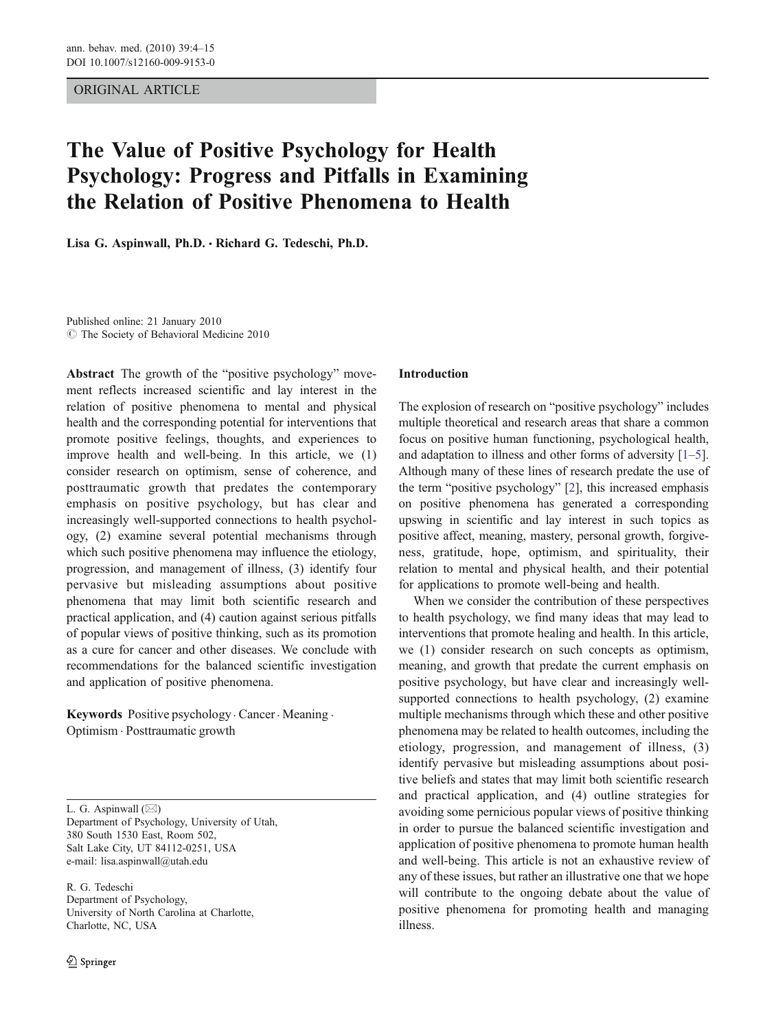ORIGINAL ARTICLE

# The Value of Positive Psychology for Health Psychology: Progress and Pitfalls in Examining the Relation of Positive Phenomena to Health

Lisa G. Aspinwall, Ph.D. *&* Richard G. Tedeschi, Ph.D.

Published online: 21 January 2010  $\circ$  The Society of Behavioral Medicine 2010

Abstract The growth of the "positive psychology" movement reflects increased scientific and lay interest in the relation of positive phenomena to mental and physical health and the corresponding potential for interventions that promote positive feelings, thoughts, and experiences to improve health and well-being. In this article, we (1) consider research on optimism, sense of coherence, and posttraumatic growth that predates the contemporary emphasis on positive psychology, but has clear and increasingly well-supported connections to health psychology, (2) examine several potential mechanisms through which such positive phenomena may influence the etiology, progression, and management of illness, (3) identify four pervasive but misleading assumptions about positive phenomena that may limit both scientific research and practical application, and (4) caution against serious pitfalls of popular views of positive thinking, such as its promotion as a cure for cancer and other diseases. We conclude with recommendations for the balanced scientific investigation and application of positive phenomena.

Keywords Positive psychology · Cancer · Meaning · Optimism . Posttraumatic growth

L. G. Aspinwall (*\**) Department of Psychology, University of Utah,

380 South 1530 East, Room 502, Salt Lake City, UT 84112-0251, USA e-mail: lisa.aspinwall@utah.edu

R. G. Tedeschi Department of Psychology, University of North Carolina at Charlotte, Charlotte, NC, USA

## Introduction

The explosion of research on "positive psychology" includes multiple theoretical and research areas that share a common focus on positive human functioning, psychological health, and adaptation to illness and other forms of adversity [1–5]. Although many of these lines of research predate the use of the term "positive psychology" [2], this increased emphasis on positive phenomena has generated a corresponding upswing in scientific and lay interest in such topics as positive affect, meaning, mastery, personal growth, forgiveness, gratitude, hope, optimism, and spirituality, their relation to mental and physical health, and their potential for applications to promote well-being and health.

When we consider the contribution of these perspectives to health psychology, we find many ideas that may lead to interventions that promote healing and health. In this article, we (1) consider research on such concepts as optimism, meaning, and growth that predate the current emphasis on positive psychology, but have clear and increasingly wellsupported connections to health psychology, (2) examine multiple mechanisms through which these and other positive phenomena may be related to health outcomes, including the etiology, progression, and management of illness, (3) identify pervasive but misleading assumptions about positive beliefs and states that may limit both scientific research and practical application, and (4) outline strategies for avoiding some pernicious popular views of positive thinking in order to pursue the balanced scientific investigation and application of positive phenomena to promote human health and well-being. This article is not an exhaustive review of any of these issues, but rather an illustrative one that we hope will contribute to the ongoing debate about the value of positive phenomena for promoting health and managing illness.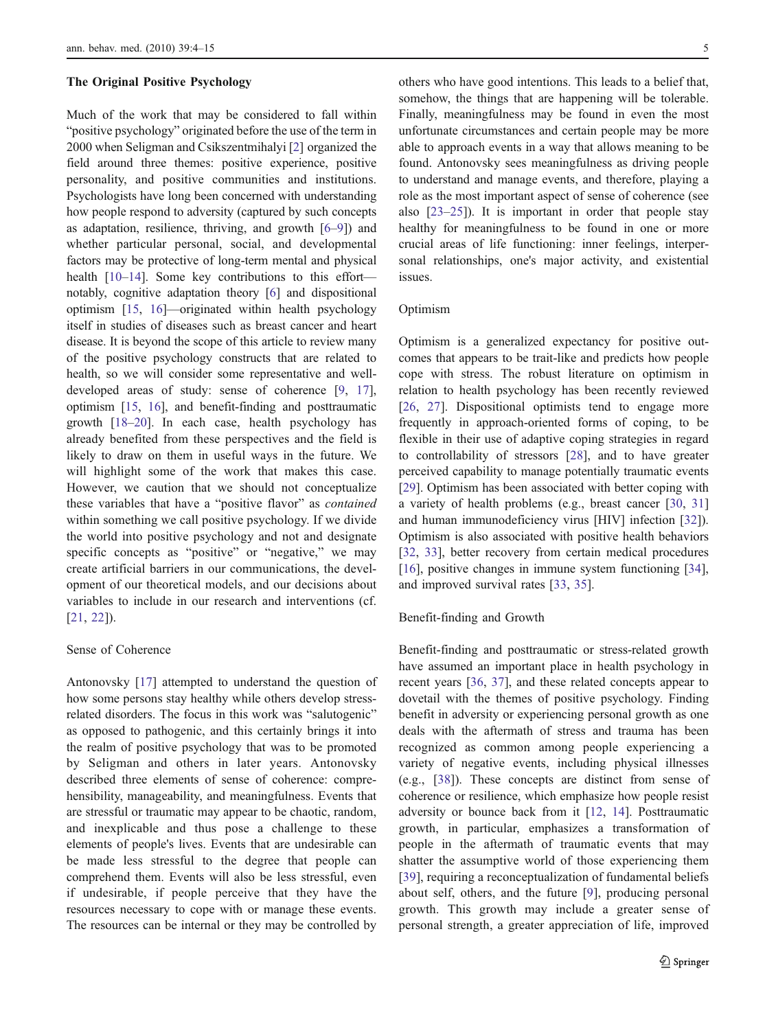#### The Original Positive Psychology

Much of the work that may be considered to fall within "positive psychology" originated before the use of the term in 2000 when Seligman and Csikszentmihalyi [2] organized the field around three themes: positive experience, positive personality, and positive communities and institutions. Psychologists have long been concerned with understanding how people respond to adversity (captured by such concepts as adaptation, resilience, thriving, and growth [6–9]) and whether particular personal, social, and developmental factors may be protective of long-term mental and physical health [10–14]. Some key contributions to this effort notably, cognitive adaptation theory [6] and dispositional optimism [15, 16]—originated within health psychology itself in studies of diseases such as breast cancer and heart disease. It is beyond the scope of this article to review many of the positive psychology constructs that are related to health, so we will consider some representative and welldeveloped areas of study: sense of coherence [9, 17], optimism [15, 16], and benefit-finding and posttraumatic growth [18–20]. In each case, health psychology has already benefited from these perspectives and the field is likely to draw on them in useful ways in the future. We will highlight some of the work that makes this case. However, we caution that we should not conceptualize these variables that have a "positive flavor" as contained within something we call positive psychology. If we divide the world into positive psychology and not and designate specific concepts as "positive" or "negative," we may create artificial barriers in our communications, the development of our theoretical models, and our decisions about variables to include in our research and interventions (cf. [21, 22]).

## Sense of Coherence

Antonovsky [17] attempted to understand the question of how some persons stay healthy while others develop stressrelated disorders. The focus in this work was "salutogenic" as opposed to pathogenic, and this certainly brings it into the realm of positive psychology that was to be promoted by Seligman and others in later years. Antonovsky described three elements of sense of coherence: comprehensibility, manageability, and meaningfulness. Events that are stressful or traumatic may appear to be chaotic, random, and inexplicable and thus pose a challenge to these elements of people's lives. Events that are undesirable can be made less stressful to the degree that people can comprehend them. Events will also be less stressful, even if undesirable, if people perceive that they have the resources necessary to cope with or manage these events. The resources can be internal or they may be controlled by

others who have good intentions. This leads to a belief that, somehow, the things that are happening will be tolerable. Finally, meaningfulness may be found in even the most unfortunate circumstances and certain people may be more able to approach events in a way that allows meaning to be found. Antonovsky sees meaningfulness as driving people to understand and manage events, and therefore, playing a role as the most important aspect of sense of coherence (see also [23–25]). It is important in order that people stay healthy for meaningfulness to be found in one or more crucial areas of life functioning: inner feelings, interpersonal relationships, one's major activity, and existential issues.

#### Optimism

Optimism is a generalized expectancy for positive outcomes that appears to be trait-like and predicts how people cope with stress. The robust literature on optimism in relation to health psychology has been recently reviewed [26, 27]. Dispositional optimists tend to engage more frequently in approach-oriented forms of coping, to be flexible in their use of adaptive coping strategies in regard to controllability of stressors [28], and to have greater perceived capability to manage potentially traumatic events [29]. Optimism has been associated with better coping with a variety of health problems (e.g., breast cancer [30, 31] and human immunodeficiency virus [HIV] infection [32]). Optimism is also associated with positive health behaviors [32, 33], better recovery from certain medical procedures [16], positive changes in immune system functioning [34], and improved survival rates [33, 35].

## Benefit-finding and Growth

Benefit-finding and posttraumatic or stress-related growth have assumed an important place in health psychology in recent years [36, 37], and these related concepts appear to dovetail with the themes of positive psychology. Finding benefit in adversity or experiencing personal growth as one deals with the aftermath of stress and trauma has been recognized as common among people experiencing a variety of negative events, including physical illnesses (e.g., [38]). These concepts are distinct from sense of coherence or resilience, which emphasize how people resist adversity or bounce back from it [12, 14]. Posttraumatic growth, in particular, emphasizes a transformation of people in the aftermath of traumatic events that may shatter the assumptive world of those experiencing them [39], requiring a reconceptualization of fundamental beliefs about self, others, and the future [9], producing personal growth. This growth may include a greater sense of personal strength, a greater appreciation of life, improved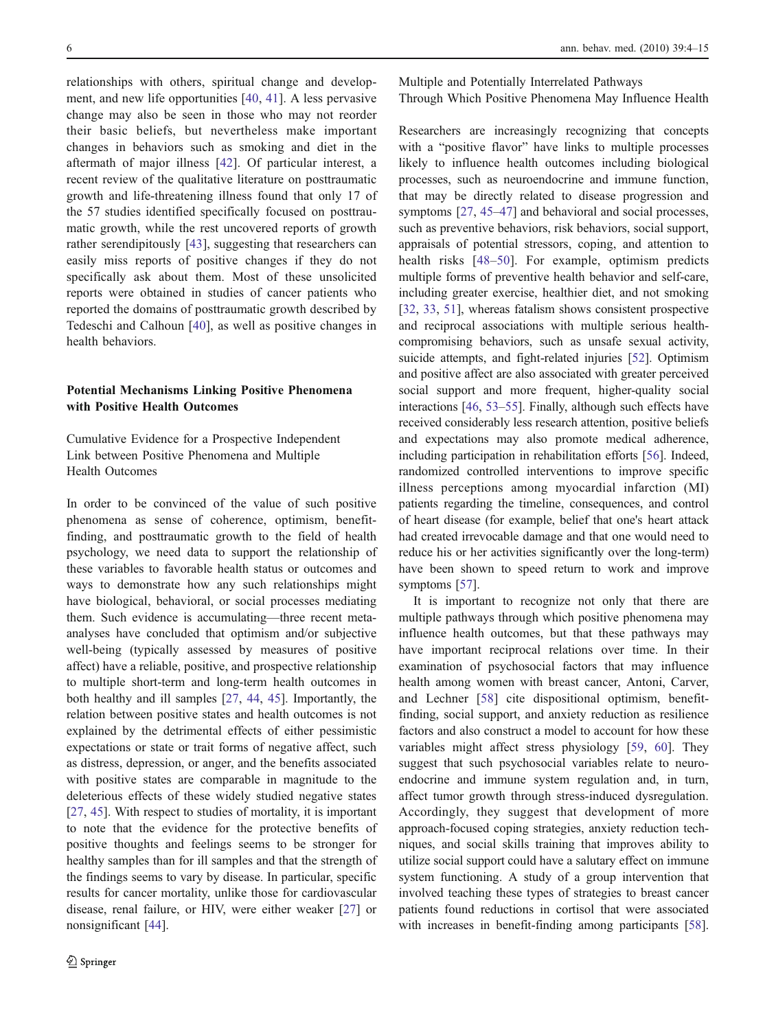relationships with others, spiritual change and development, and new life opportunities [40, 41]. A less pervasive change may also be seen in those who may not reorder their basic beliefs, but nevertheless make important changes in behaviors such as smoking and diet in the aftermath of major illness [42]. Of particular interest, a recent review of the qualitative literature on posttraumatic growth and life-threatening illness found that only 17 of the 57 studies identified specifically focused on posttraumatic growth, while the rest uncovered reports of growth rather serendipitously [43], suggesting that researchers can easily miss reports of positive changes if they do not specifically ask about them. Most of these unsolicited reports were obtained in studies of cancer patients who reported the domains of posttraumatic growth described by Tedeschi and Calhoun [40], as well as positive changes in health behaviors.

## Potential Mechanisms Linking Positive Phenomena with Positive Health Outcomes

Cumulative Evidence for a Prospective Independent Link between Positive Phenomena and Multiple Health Outcomes

In order to be convinced of the value of such positive phenomena as sense of coherence, optimism, benefitfinding, and posttraumatic growth to the field of health psychology, we need data to support the relationship of these variables to favorable health status or outcomes and ways to demonstrate how any such relationships might have biological, behavioral, or social processes mediating them. Such evidence is accumulating—three recent metaanalyses have concluded that optimism and/or subjective well-being (typically assessed by measures of positive affect) have a reliable, positive, and prospective relationship to multiple short-term and long-term health outcomes in both healthy and ill samples [27, 44, 45]. Importantly, the relation between positive states and health outcomes is not explained by the detrimental effects of either pessimistic expectations or state or trait forms of negative affect, such as distress, depression, or anger, and the benefits associated with positive states are comparable in magnitude to the deleterious effects of these widely studied negative states [27, 45]. With respect to studies of mortality, it is important to note that the evidence for the protective benefits of positive thoughts and feelings seems to be stronger for healthy samples than for ill samples and that the strength of the findings seems to vary by disease. In particular, specific results for cancer mortality, unlike those for cardiovascular disease, renal failure, or HIV, were either weaker [27] or nonsignificant [44].

Multiple and Potentially Interrelated Pathways Through Which Positive Phenomena May Influence Health

Researchers are increasingly recognizing that concepts with a "positive flavor" have links to multiple processes likely to influence health outcomes including biological processes, such as neuroendocrine and immune function, that may be directly related to disease progression and symptoms [27, 45–47] and behavioral and social processes, such as preventive behaviors, risk behaviors, social support, appraisals of potential stressors, coping, and attention to health risks [48–50]. For example, optimism predicts multiple forms of preventive health behavior and self-care, including greater exercise, healthier diet, and not smoking [32, 33, 51], whereas fatalism shows consistent prospective and reciprocal associations with multiple serious healthcompromising behaviors, such as unsafe sexual activity, suicide attempts, and fight-related injuries [52]. Optimism and positive affect are also associated with greater perceived social support and more frequent, higher-quality social interactions [46, 53–55]. Finally, although such effects have received considerably less research attention, positive beliefs and expectations may also promote medical adherence, including participation in rehabilitation efforts [56]. Indeed, randomized controlled interventions to improve specific illness perceptions among myocardial infarction (MI) patients regarding the timeline, consequences, and control of heart disease (for example, belief that one's heart attack had created irrevocable damage and that one would need to reduce his or her activities significantly over the long-term) have been shown to speed return to work and improve symptoms [57].

It is important to recognize not only that there are multiple pathways through which positive phenomena may influence health outcomes, but that these pathways may have important reciprocal relations over time. In their examination of psychosocial factors that may influence health among women with breast cancer, Antoni, Carver, and Lechner [58] cite dispositional optimism, benefitfinding, social support, and anxiety reduction as resilience factors and also construct a model to account for how these variables might affect stress physiology [59, 60]. They suggest that such psychosocial variables relate to neuroendocrine and immune system regulation and, in turn, affect tumor growth through stress-induced dysregulation. Accordingly, they suggest that development of more approach-focused coping strategies, anxiety reduction techniques, and social skills training that improves ability to utilize social support could have a salutary effect on immune system functioning. A study of a group intervention that involved teaching these types of strategies to breast cancer patients found reductions in cortisol that were associated with increases in benefit-finding among participants [58].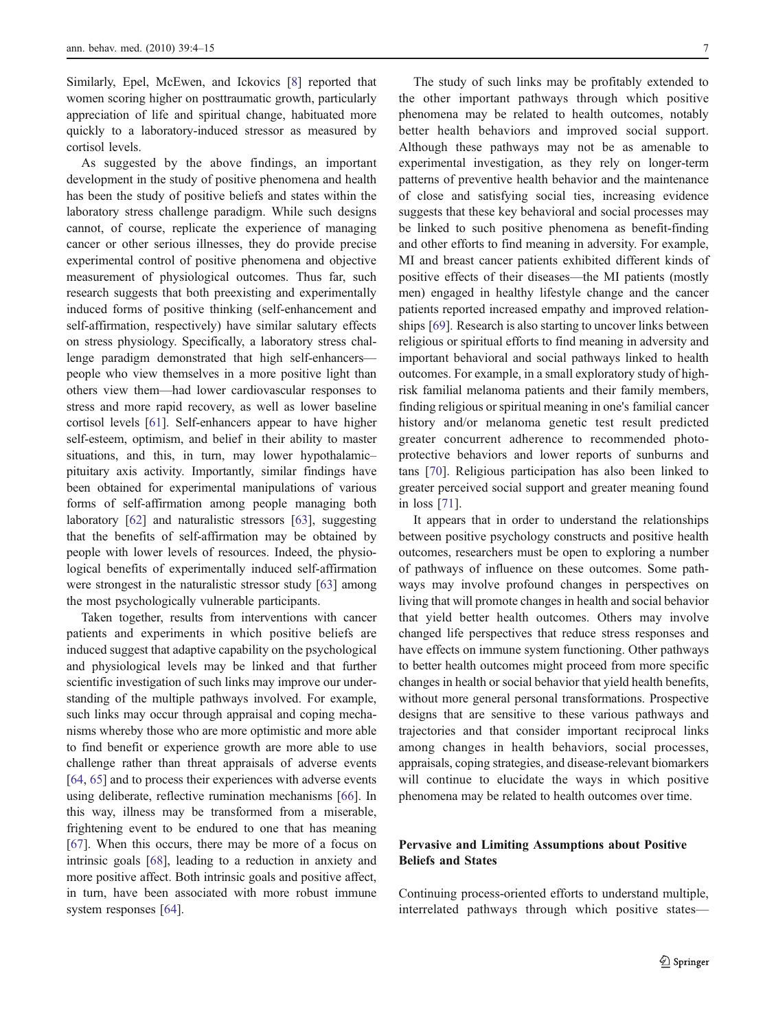Similarly, Epel, McEwen, and Ickovics [8] reported that women scoring higher on posttraumatic growth, particularly appreciation of life and spiritual change, habituated more quickly to a laboratory-induced stressor as measured by cortisol levels.

As suggested by the above findings, an important development in the study of positive phenomena and health has been the study of positive beliefs and states within the laboratory stress challenge paradigm. While such designs cannot, of course, replicate the experience of managing cancer or other serious illnesses, they do provide precise experimental control of positive phenomena and objective measurement of physiological outcomes. Thus far, such research suggests that both preexisting and experimentally induced forms of positive thinking (self-enhancement and self-affirmation, respectively) have similar salutary effects on stress physiology. Specifically, a laboratory stress challenge paradigm demonstrated that high self-enhancers people who view themselves in a more positive light than others view them—had lower cardiovascular responses to stress and more rapid recovery, as well as lower baseline cortisol levels [61]. Self-enhancers appear to have higher self-esteem, optimism, and belief in their ability to master situations, and this, in turn, may lower hypothalamic– pituitary axis activity. Importantly, similar findings have been obtained for experimental manipulations of various forms of self-affirmation among people managing both laboratory [62] and naturalistic stressors [63], suggesting that the benefits of self-affirmation may be obtained by people with lower levels of resources. Indeed, the physiological benefits of experimentally induced self-affirmation were strongest in the naturalistic stressor study [63] among the most psychologically vulnerable participants.

Taken together, results from interventions with cancer patients and experiments in which positive beliefs are induced suggest that adaptive capability on the psychological and physiological levels may be linked and that further scientific investigation of such links may improve our understanding of the multiple pathways involved. For example, such links may occur through appraisal and coping mechanisms whereby those who are more optimistic and more able to find benefit or experience growth are more able to use challenge rather than threat appraisals of adverse events [64, 65] and to process their experiences with adverse events using deliberate, reflective rumination mechanisms [66]. In this way, illness may be transformed from a miserable, frightening event to be endured to one that has meaning [67]. When this occurs, there may be more of a focus on intrinsic goals [68], leading to a reduction in anxiety and more positive affect. Both intrinsic goals and positive affect, in turn, have been associated with more robust immune system responses [64].

The study of such links may be profitably extended to the other important pathways through which positive phenomena may be related to health outcomes, notably better health behaviors and improved social support. Although these pathways may not be as amenable to experimental investigation, as they rely on longer-term patterns of preventive health behavior and the maintenance of close and satisfying social ties, increasing evidence suggests that these key behavioral and social processes may be linked to such positive phenomena as benefit-finding and other efforts to find meaning in adversity. For example, MI and breast cancer patients exhibited different kinds of positive effects of their diseases—the MI patients (mostly men) engaged in healthy lifestyle change and the cancer patients reported increased empathy and improved relationships [69]. Research is also starting to uncover links between religious or spiritual efforts to find meaning in adversity and important behavioral and social pathways linked to health outcomes. For example, in a small exploratory study of highrisk familial melanoma patients and their family members, finding religious or spiritual meaning in one's familial cancer history and/or melanoma genetic test result predicted greater concurrent adherence to recommended photoprotective behaviors and lower reports of sunburns and tans [70]. Religious participation has also been linked to greater perceived social support and greater meaning found in loss [71].

It appears that in order to understand the relationships between positive psychology constructs and positive health outcomes, researchers must be open to exploring a number of pathways of influence on these outcomes. Some pathways may involve profound changes in perspectives on living that will promote changes in health and social behavior that yield better health outcomes. Others may involve changed life perspectives that reduce stress responses and have effects on immune system functioning. Other pathways to better health outcomes might proceed from more specific changes in health or social behavior that yield health benefits, without more general personal transformations. Prospective designs that are sensitive to these various pathways and trajectories and that consider important reciprocal links among changes in health behaviors, social processes, appraisals, coping strategies, and disease-relevant biomarkers will continue to elucidate the ways in which positive phenomena may be related to health outcomes over time.

# Pervasive and Limiting Assumptions about Positive Beliefs and States

Continuing process-oriented efforts to understand multiple, interrelated pathways through which positive states—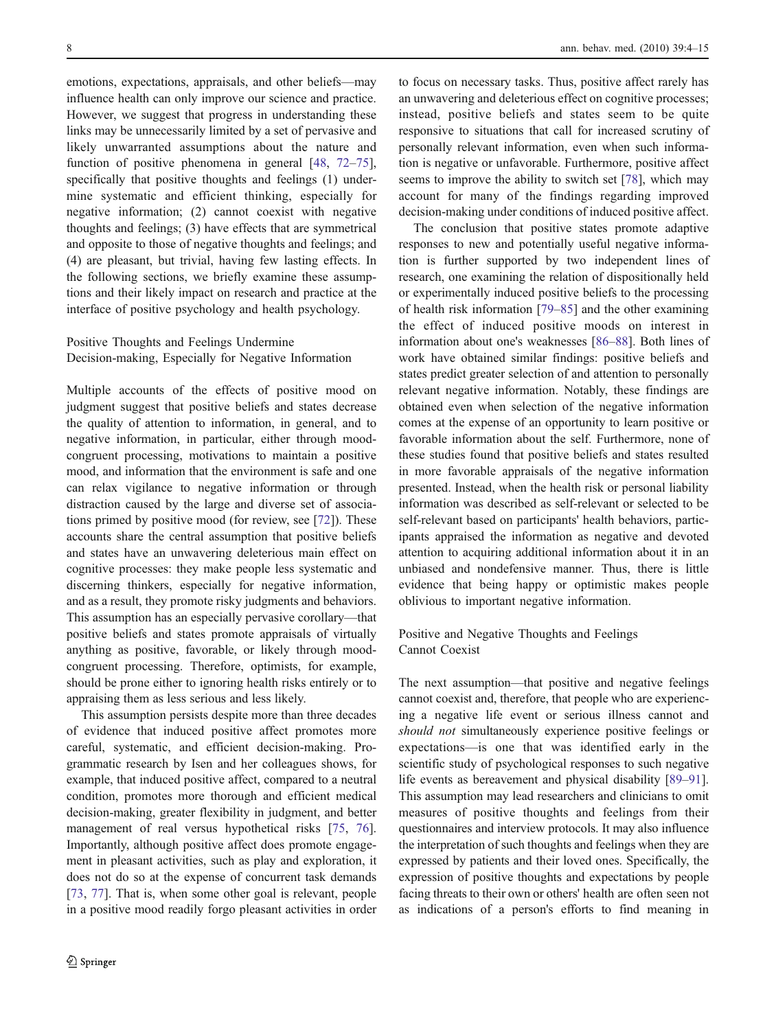emotions, expectations, appraisals, and other beliefs—may influence health can only improve our science and practice. However, we suggest that progress in understanding these links may be unnecessarily limited by a set of pervasive and likely unwarranted assumptions about the nature and function of positive phenomena in general [48, 72–75], specifically that positive thoughts and feelings (1) undermine systematic and efficient thinking, especially for negative information; (2) cannot coexist with negative thoughts and feelings; (3) have effects that are symmetrical and opposite to those of negative thoughts and feelings; and (4) are pleasant, but trivial, having few lasting effects. In the following sections, we briefly examine these assumptions and their likely impact on research and practice at the interface of positive psychology and health psychology.

## Positive Thoughts and Feelings Undermine Decision-making, Especially for Negative Information

Multiple accounts of the effects of positive mood on judgment suggest that positive beliefs and states decrease the quality of attention to information, in general, and to negative information, in particular, either through moodcongruent processing, motivations to maintain a positive mood, and information that the environment is safe and one can relax vigilance to negative information or through distraction caused by the large and diverse set of associations primed by positive mood (for review, see [72]). These accounts share the central assumption that positive beliefs and states have an unwavering deleterious main effect on cognitive processes: they make people less systematic and discerning thinkers, especially for negative information, and as a result, they promote risky judgments and behaviors. This assumption has an especially pervasive corollary—that positive beliefs and states promote appraisals of virtually anything as positive, favorable, or likely through moodcongruent processing. Therefore, optimists, for example, should be prone either to ignoring health risks entirely or to appraising them as less serious and less likely.

This assumption persists despite more than three decades of evidence that induced positive affect promotes more careful, systematic, and efficient decision-making. Programmatic research by Isen and her colleagues shows, for example, that induced positive affect, compared to a neutral condition, promotes more thorough and efficient medical decision-making, greater flexibility in judgment, and better management of real versus hypothetical risks [75, 76]. Importantly, although positive affect does promote engagement in pleasant activities, such as play and exploration, it does not do so at the expense of concurrent task demands [73, 77]. That is, when some other goal is relevant, people in a positive mood readily forgo pleasant activities in order

to focus on necessary tasks. Thus, positive affect rarely has an unwavering and deleterious effect on cognitive processes; instead, positive beliefs and states seem to be quite responsive to situations that call for increased scrutiny of personally relevant information, even when such information is negative or unfavorable. Furthermore, positive affect seems to improve the ability to switch set [78], which may account for many of the findings regarding improved decision-making under conditions of induced positive affect.

The conclusion that positive states promote adaptive responses to new and potentially useful negative information is further supported by two independent lines of research, one examining the relation of dispositionally held or experimentally induced positive beliefs to the processing of health risk information [79–85] and the other examining the effect of induced positive moods on interest in information about one's weaknesses [86–88]. Both lines of work have obtained similar findings: positive beliefs and states predict greater selection of and attention to personally relevant negative information. Notably, these findings are obtained even when selection of the negative information comes at the expense of an opportunity to learn positive or favorable information about the self. Furthermore, none of these studies found that positive beliefs and states resulted in more favorable appraisals of the negative information presented. Instead, when the health risk or personal liability information was described as self-relevant or selected to be self-relevant based on participants' health behaviors, participants appraised the information as negative and devoted attention to acquiring additional information about it in an unbiased and nondefensive manner. Thus, there is little evidence that being happy or optimistic makes people oblivious to important negative information.

# Positive and Negative Thoughts and Feelings Cannot Coexist

The next assumption—that positive and negative feelings cannot coexist and, therefore, that people who are experiencing a negative life event or serious illness cannot and should not simultaneously experience positive feelings or expectations—is one that was identified early in the scientific study of psychological responses to such negative life events as bereavement and physical disability [89–91]. This assumption may lead researchers and clinicians to omit measures of positive thoughts and feelings from their questionnaires and interview protocols. It may also influence the interpretation of such thoughts and feelings when they are expressed by patients and their loved ones. Specifically, the expression of positive thoughts and expectations by people facing threats to their own or others' health are often seen not as indications of a person's efforts to find meaning in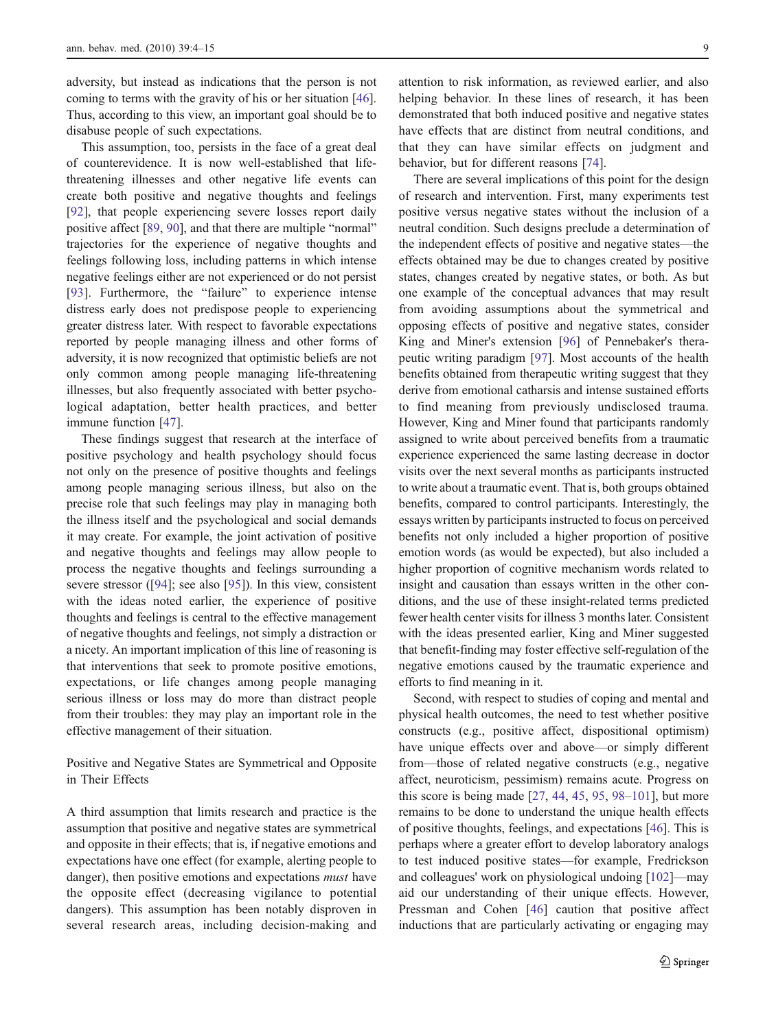adversity, but instead as indications that the person is not coming to terms with the gravity of his or her situation [46]. Thus, according to this view, an important goal should be to disabuse people of such expectations.

This assumption, too, persists in the face of a great deal of counterevidence. It is now well-established that lifethreatening illnesses and other negative life events can create both positive and negative thoughts and feelings [92], that people experiencing severe losses report daily positive affect [89, 90], and that there are multiple "normal" trajectories for the experience of negative thoughts and feelings following loss, including patterns in which intense negative feelings either are not experienced or do not persist [93]. Furthermore, the "failure" to experience intense distress early does not predispose people to experiencing greater distress later. With respect to favorable expectations reported by people managing illness and other forms of adversity, it is now recognized that optimistic beliefs are not only common among people managing life-threatening illnesses, but also frequently associated with better psychological adaptation, better health practices, and better immune function [47].

These findings suggest that research at the interface of positive psychology and health psychology should focus not only on the presence of positive thoughts and feelings among people managing serious illness, but also on the precise role that such feelings may play in managing both the illness itself and the psychological and social demands it may create. For example, the joint activation of positive and negative thoughts and feelings may allow people to process the negative thoughts and feelings surrounding a severe stressor ([94]; see also [95]). In this view, consistent with the ideas noted earlier, the experience of positive thoughts and feelings is central to the effective management of negative thoughts and feelings, not simply a distraction or a nicety. An important implication of this line of reasoning is that interventions that seek to promote positive emotions, expectations, or life changes among people managing serious illness or loss may do more than distract people from their troubles: they may play an important role in the effective management of their situation.

# Positive and Negative States are Symmetrical and Opposite in Their Effects

A third assumption that limits research and practice is the assumption that positive and negative states are symmetrical and opposite in their effects; that is, if negative emotions and expectations have one effect (for example, alerting people to danger), then positive emotions and expectations *must* have the opposite effect (decreasing vigilance to potential dangers). This assumption has been notably disproven in several research areas, including decision-making and

attention to risk information, as reviewed earlier, and also helping behavior. In these lines of research, it has been demonstrated that both induced positive and negative states have effects that are distinct from neutral conditions, and that they can have similar effects on judgment and behavior, but for different reasons [74].

There are several implications of this point for the design of research and intervention. First, many experiments test positive versus negative states without the inclusion of a neutral condition. Such designs preclude a determination of the independent effects of positive and negative states—the effects obtained may be due to changes created by positive states, changes created by negative states, or both. As but one example of the conceptual advances that may result from avoiding assumptions about the symmetrical and opposing effects of positive and negative states, consider King and Miner's extension [96] of Pennebaker's therapeutic writing paradigm [97]. Most accounts of the health benefits obtained from therapeutic writing suggest that they derive from emotional catharsis and intense sustained efforts to find meaning from previously undisclosed trauma. However, King and Miner found that participants randomly assigned to write about perceived benefits from a traumatic experience experienced the same lasting decrease in doctor visits over the next several months as participants instructed to write about a traumatic event. That is, both groups obtained benefits, compared to control participants. Interestingly, the essays written by participants instructed to focus on perceived benefits not only included a higher proportion of positive emotion words (as would be expected), but also included a higher proportion of cognitive mechanism words related to insight and causation than essays written in the other conditions, and the use of these insight-related terms predicted fewer health center visits for illness 3 months later. Consistent with the ideas presented earlier, King and Miner suggested that benefit-finding may foster effective self-regulation of the negative emotions caused by the traumatic experience and efforts to find meaning in it.

Second, with respect to studies of coping and mental and physical health outcomes, the need to test whether positive constructs (e.g., positive affect, dispositional optimism) have unique effects over and above—or simply different from—those of related negative constructs (e.g., negative affect, neuroticism, pessimism) remains acute. Progress on this score is being made [27, 44, 45, 95, 98–101], but more remains to be done to understand the unique health effects of positive thoughts, feelings, and expectations [46]. This is perhaps where a greater effort to develop laboratory analogs to test induced positive states—for example, Fredrickson and colleagues' work on physiological undoing [102]—may aid our understanding of their unique effects. However, Pressman and Cohen [46] caution that positive affect inductions that are particularly activating or engaging may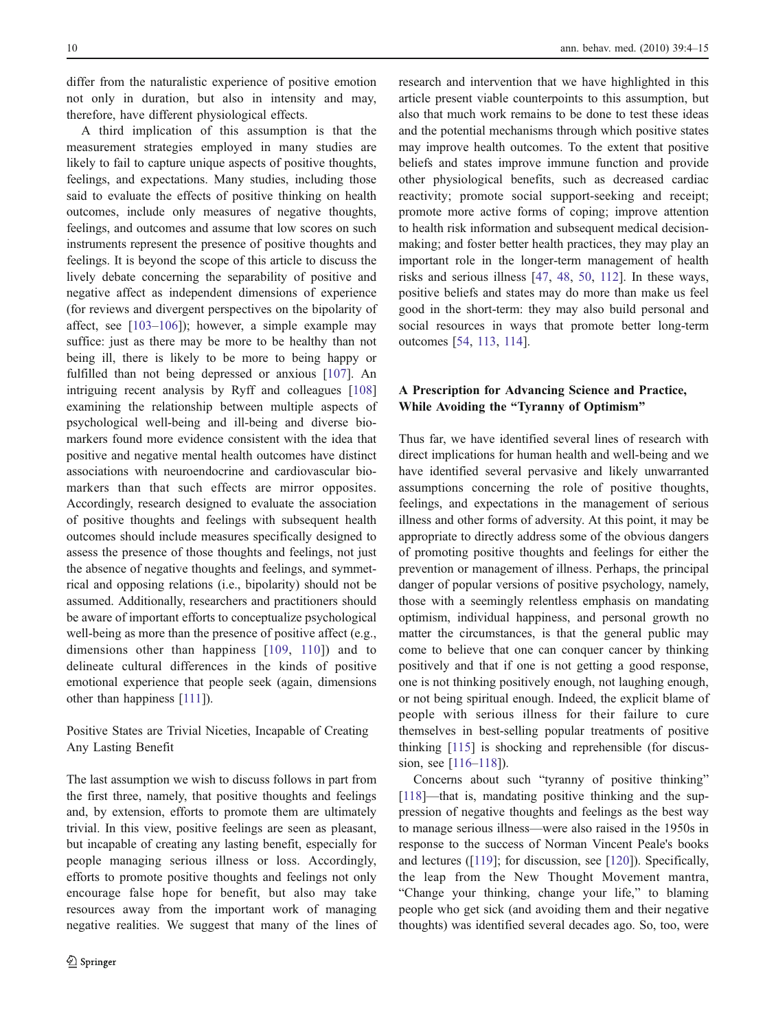differ from the naturalistic experience of positive emotion not only in duration, but also in intensity and may, therefore, have different physiological effects.

A third implication of this assumption is that the measurement strategies employed in many studies are likely to fail to capture unique aspects of positive thoughts, feelings, and expectations. Many studies, including those said to evaluate the effects of positive thinking on health outcomes, include only measures of negative thoughts, feelings, and outcomes and assume that low scores on such instruments represent the presence of positive thoughts and feelings. It is beyond the scope of this article to discuss the lively debate concerning the separability of positive and negative affect as independent dimensions of experience (for reviews and divergent perspectives on the bipolarity of affect, see [103–106]); however, a simple example may suffice: just as there may be more to be healthy than not being ill, there is likely to be more to being happy or fulfilled than not being depressed or anxious [107]. An intriguing recent analysis by Ryff and colleagues [108] examining the relationship between multiple aspects of psychological well-being and ill-being and diverse biomarkers found more evidence consistent with the idea that positive and negative mental health outcomes have distinct associations with neuroendocrine and cardiovascular biomarkers than that such effects are mirror opposites. Accordingly, research designed to evaluate the association of positive thoughts and feelings with subsequent health outcomes should include measures specifically designed to assess the presence of those thoughts and feelings, not just the absence of negative thoughts and feelings, and symmetrical and opposing relations (i.e., bipolarity) should not be assumed. Additionally, researchers and practitioners should be aware of important efforts to conceptualize psychological well-being as more than the presence of positive affect (e.g., dimensions other than happiness [109, 110]) and to delineate cultural differences in the kinds of positive emotional experience that people seek (again, dimensions other than happiness [111]).

Positive States are Trivial Niceties, Incapable of Creating Any Lasting Benefit

The last assumption we wish to discuss follows in part from the first three, namely, that positive thoughts and feelings and, by extension, efforts to promote them are ultimately trivial. In this view, positive feelings are seen as pleasant, but incapable of creating any lasting benefit, especially for people managing serious illness or loss. Accordingly, efforts to promote positive thoughts and feelings not only encourage false hope for benefit, but also may take resources away from the important work of managing negative realities. We suggest that many of the lines of

research and intervention that we have highlighted in this article present viable counterpoints to this assumption, but also that much work remains to be done to test these ideas and the potential mechanisms through which positive states may improve health outcomes. To the extent that positive beliefs and states improve immune function and provide other physiological benefits, such as decreased cardiac reactivity; promote social support-seeking and receipt; promote more active forms of coping; improve attention to health risk information and subsequent medical decisionmaking; and foster better health practices, they may play an important role in the longer-term management of health risks and serious illness [47, 48, 50, 112]. In these ways, positive beliefs and states may do more than make us feel good in the short-term: they may also build personal and social resources in ways that promote better long-term outcomes [54, 113, 114].

# A Prescription for Advancing Science and Practice, While Avoiding the "Tyranny of Optimism"

Thus far, we have identified several lines of research with direct implications for human health and well-being and we have identified several pervasive and likely unwarranted assumptions concerning the role of positive thoughts, feelings, and expectations in the management of serious illness and other forms of adversity. At this point, it may be appropriate to directly address some of the obvious dangers of promoting positive thoughts and feelings for either the prevention or management of illness. Perhaps, the principal danger of popular versions of positive psychology, namely, those with a seemingly relentless emphasis on mandating optimism, individual happiness, and personal growth no matter the circumstances, is that the general public may come to believe that one can conquer cancer by thinking positively and that if one is not getting a good response, one is not thinking positively enough, not laughing enough, or not being spiritual enough. Indeed, the explicit blame of people with serious illness for their failure to cure themselves in best-selling popular treatments of positive thinking [115] is shocking and reprehensible (for discussion, see [116–118]).

Concerns about such "tyranny of positive thinking" [118]—that is, mandating positive thinking and the suppression of negative thoughts and feelings as the best way to manage serious illness—were also raised in the 1950s in response to the success of Norman Vincent Peale's books and lectures ([119]; for discussion, see [120]). Specifically, the leap from the New Thought Movement mantra, "Change your thinking, change your life," to blaming people who get sick (and avoiding them and their negative thoughts) was identified several decades ago. So, too, were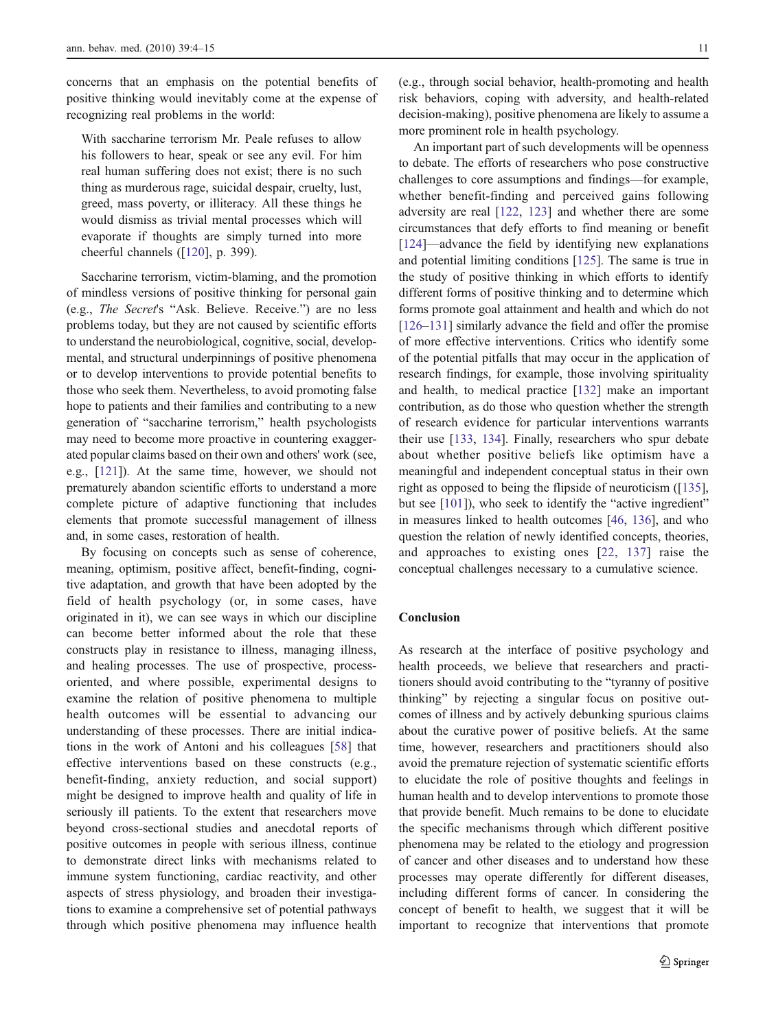concerns that an emphasis on the potential benefits of positive thinking would inevitably come at the expense of recognizing real problems in the world:

With saccharine terrorism Mr. Peale refuses to allow his followers to hear, speak or see any evil. For him real human suffering does not exist; there is no such thing as murderous rage, suicidal despair, cruelty, lust, greed, mass poverty, or illiteracy. All these things he would dismiss as trivial mental processes which will evaporate if thoughts are simply turned into more cheerful channels ([120], p. 399).

Saccharine terrorism, victim-blaming, and the promotion of mindless versions of positive thinking for personal gain (e.g., The Secret's "Ask. Believe. Receive.") are no less problems today, but they are not caused by scientific efforts to understand the neurobiological, cognitive, social, developmental, and structural underpinnings of positive phenomena or to develop interventions to provide potential benefits to those who seek them. Nevertheless, to avoid promoting false hope to patients and their families and contributing to a new generation of "saccharine terrorism," health psychologists may need to become more proactive in countering exaggerated popular claims based on their own and others' work (see, e.g., [121]). At the same time, however, we should not prematurely abandon scientific efforts to understand a more complete picture of adaptive functioning that includes elements that promote successful management of illness and, in some cases, restoration of health.

By focusing on concepts such as sense of coherence, meaning, optimism, positive affect, benefit-finding, cognitive adaptation, and growth that have been adopted by the field of health psychology (or, in some cases, have originated in it), we can see ways in which our discipline can become better informed about the role that these constructs play in resistance to illness, managing illness, and healing processes. The use of prospective, processoriented, and where possible, experimental designs to examine the relation of positive phenomena to multiple health outcomes will be essential to advancing our understanding of these processes. There are initial indications in the work of Antoni and his colleagues [58] that effective interventions based on these constructs (e.g., benefit-finding, anxiety reduction, and social support) might be designed to improve health and quality of life in seriously ill patients. To the extent that researchers move beyond cross-sectional studies and anecdotal reports of positive outcomes in people with serious illness, continue to demonstrate direct links with mechanisms related to immune system functioning, cardiac reactivity, and other aspects of stress physiology, and broaden their investigations to examine a comprehensive set of potential pathways through which positive phenomena may influence health

(e.g., through social behavior, health-promoting and health risk behaviors, coping with adversity, and health-related decision-making), positive phenomena are likely to assume a more prominent role in health psychology.

An important part of such developments will be openness to debate. The efforts of researchers who pose constructive challenges to core assumptions and findings—for example, whether benefit-finding and perceived gains following adversity are real [122, 123] and whether there are some circumstances that defy efforts to find meaning or benefit [124]—advance the field by identifying new explanations and potential limiting conditions [125]. The same is true in the study of positive thinking in which efforts to identify different forms of positive thinking and to determine which forms promote goal attainment and health and which do not [126–131] similarly advance the field and offer the promise of more effective interventions. Critics who identify some of the potential pitfalls that may occur in the application of research findings, for example, those involving spirituality and health, to medical practice [132] make an important contribution, as do those who question whether the strength of research evidence for particular interventions warrants their use [133, 134]. Finally, researchers who spur debate about whether positive beliefs like optimism have a meaningful and independent conceptual status in their own right as opposed to being the flipside of neuroticism ([135], but see [101]), who seek to identify the "active ingredient" in measures linked to health outcomes [46, 136], and who question the relation of newly identified concepts, theories, and approaches to existing ones [22, 137] raise the conceptual challenges necessary to a cumulative science.

#### Conclusion

As research at the interface of positive psychology and health proceeds, we believe that researchers and practitioners should avoid contributing to the "tyranny of positive thinking" by rejecting a singular focus on positive outcomes of illness and by actively debunking spurious claims about the curative power of positive beliefs. At the same time, however, researchers and practitioners should also avoid the premature rejection of systematic scientific efforts to elucidate the role of positive thoughts and feelings in human health and to develop interventions to promote those that provide benefit. Much remains to be done to elucidate the specific mechanisms through which different positive phenomena may be related to the etiology and progression of cancer and other diseases and to understand how these processes may operate differently for different diseases, including different forms of cancer. In considering the concept of benefit to health, we suggest that it will be important to recognize that interventions that promote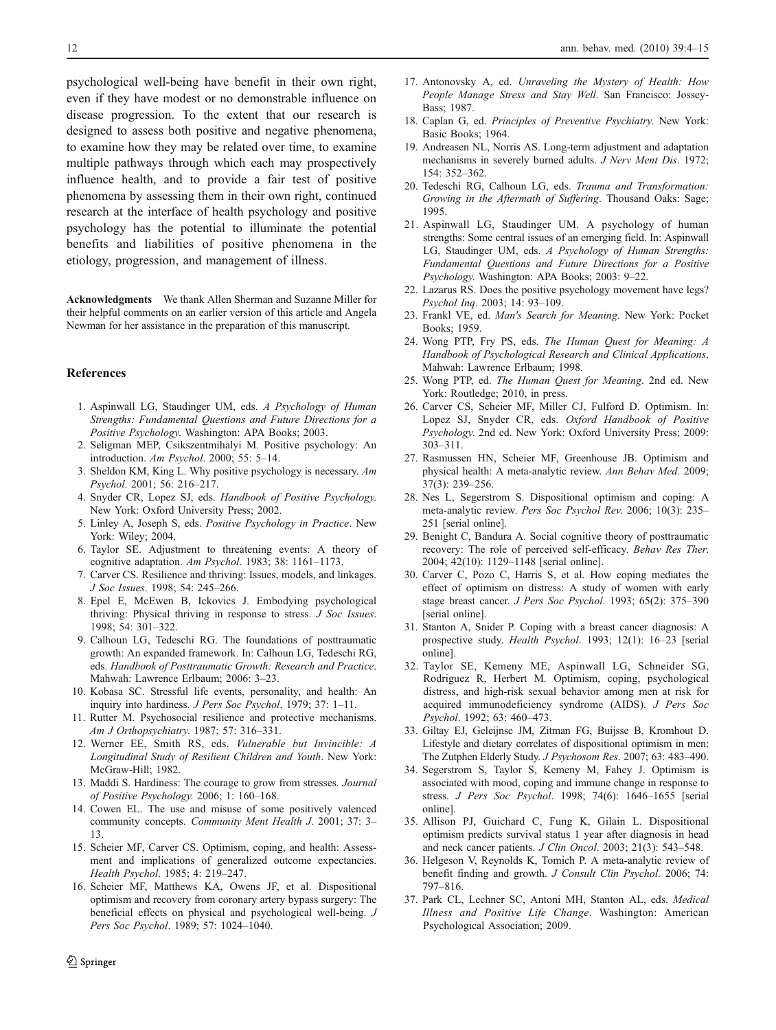psychological well-being have benefit in their own right, even if they have modest or no demonstrable influence on disease progression. To the extent that our research is designed to assess both positive and negative phenomena, to examine how they may be related over time, to examine multiple pathways through which each may prospectively influence health, and to provide a fair test of positive phenomena by assessing them in their own right, continued research at the interface of health psychology and positive psychology has the potential to illuminate the potential benefits and liabilities of positive phenomena in the etiology, progression, and management of illness.

Acknowledgments We thank Allen Sherman and Suzanne Miller for their helpful comments on an earlier version of this article and Angela Newman for her assistance in the preparation of this manuscript.

#### References

- 1. Aspinwall LG, Staudinger UM, eds. A Psychology of Human Strengths: Fundamental Questions and Future Directions for a Positive Psychology. Washington: APA Books; 2003.
- 2. Seligman MEP, Csikszentmihalyi M. Positive psychology: An introduction. Am Psychol. 2000; 55: 5–14.
- 3. Sheldon KM, King L. Why positive psychology is necessary. Am Psychol. 2001; 56: 216–217.
- 4. Snyder CR, Lopez SJ, eds. Handbook of Positive Psychology. New York: Oxford University Press; 2002.
- 5. Linley A, Joseph S, eds. Positive Psychology in Practice. New York: Wiley; 2004.
- 6. Taylor SE. Adjustment to threatening events: A theory of cognitive adaptation. Am Psychol. 1983; 38: 1161–1173.
- 7. Carver CS. Resilience and thriving: Issues, models, and linkages. J Soc Issues. 1998; 54: 245–266.
- 8. Epel E, McEwen B, Ickovics J. Embodying psychological thriving: Physical thriving in response to stress. J Soc Issues. 1998; 54: 301–322.
- 9. Calhoun LG, Tedeschi RG. The foundations of posttraumatic growth: An expanded framework. In: Calhoun LG, Tedeschi RG, eds. Handbook of Posttraumatic Growth: Research and Practice. Mahwah: Lawrence Erlbaum; 2006: 3–23.
- 10. Kobasa SC. Stressful life events, personality, and health: An inquiry into hardiness. J Pers Soc Psychol. 1979; 37: 1–11.
- 11. Rutter M. Psychosocial resilience and protective mechanisms. Am J Orthopsychiatry. 1987; 57: 316–331.
- 12. Werner EE, Smith RS, eds. Vulnerable but Invincible: A Longitudinal Study of Resilient Children and Youth. New York: McGraw-Hill; 1982.
- 13. Maddi S. Hardiness: The courage to grow from stresses. Journal of Positive Psychology. 2006; 1: 160–168.
- 14. Cowen EL. The use and misuse of some positively valenced community concepts. Community Ment Health J. 2001; 37: 3– 13.
- 15. Scheier MF, Carver CS. Optimism, coping, and health: Assessment and implications of generalized outcome expectancies. Health Psychol. 1985; 4: 219–247.
- 16. Scheier MF, Matthews KA, Owens JF, et al. Dispositional optimism and recovery from coronary artery bypass surgery: The beneficial effects on physical and psychological well-being. J Pers Soc Psychol. 1989; 57: 1024–1040.
- 17. Antonovsky A, ed. Unraveling the Mystery of Health: How People Manage Stress and Stay Well. San Francisco: Jossey-Bass; 1987.
- 18. Caplan G, ed. Principles of Preventive Psychiatry. New York: Basic Books; 1964.
- 19. Andreasen NL, Norris AS. Long-term adjustment and adaptation mechanisms in severely burned adults. J Nerv Ment Dis. 1972; 154: 352–362.
- 20. Tedeschi RG, Calhoun LG, eds. Trauma and Transformation: Growing in the Aftermath of Suffering. Thousand Oaks: Sage; 1995.
- 21. Aspinwall LG, Staudinger UM. A psychology of human strengths: Some central issues of an emerging field. In: Aspinwall LG, Staudinger UM, eds. A Psychology of Human Strengths: Fundamental Questions and Future Directions for a Positive Psychology. Washington: APA Books; 2003: 9–22.
- 22. Lazarus RS. Does the positive psychology movement have legs? Psychol Inq. 2003; 14: 93–109.
- 23. Frankl VE, ed. Man's Search for Meaning. New York: Pocket Books; 1959.
- 24. Wong PTP, Fry PS, eds. The Human Quest for Meaning: A Handbook of Psychological Research and Clinical Applications. Mahwah: Lawrence Erlbaum; 1998.
- 25. Wong PTP, ed. The Human Quest for Meaning. 2nd ed. New York: Routledge; 2010, in press.
- 26. Carver CS, Scheier MF, Miller CJ, Fulford D. Optimism. In: Lopez SJ, Snyder CR, eds. Oxford Handbook of Positive Psychology. 2nd ed. New York: Oxford University Press; 2009: 303–311.
- 27. Rasmussen HN, Scheier MF, Greenhouse JB. Optimism and physical health: A meta-analytic review. Ann Behav Med. 2009; 37(3): 239–256.
- 28. Nes L, Segerstrom S. Dispositional optimism and coping: A meta-analytic review. Pers Soc Psychol Rev. 2006; 10(3): 235– 251 [serial online].
- 29. Benight C, Bandura A. Social cognitive theory of posttraumatic recovery: The role of perceived self-efficacy. Behav Res Ther. 2004; 42(10): 1129–1148 [serial online].
- 30. Carver C, Pozo C, Harris S, et al. How coping mediates the effect of optimism on distress: A study of women with early stage breast cancer. J Pers Soc Psychol. 1993; 65(2): 375–390 [serial online].
- 31. Stanton A, Snider P. Coping with a breast cancer diagnosis: A prospective study. Health Psychol. 1993; 12(1): 16–23 [serial online].
- 32. Taylor SE, Kemeny ME, Aspinwall LG, Schneider SG, Rodriguez R, Herbert M. Optimism, coping, psychological distress, and high-risk sexual behavior among men at risk for acquired immunodeficiency syndrome (AIDS). J Pers Soc Psychol. 1992; 63: 460–473.
- 33. Giltay EJ, Geleijnse JM, Zitman FG, Buijsse B, Kromhout D. Lifestyle and dietary correlates of dispositional optimism in men: The Zutphen Elderly Study. J Psychosom Res. 2007; 63: 483–490.
- 34. Segerstrom S, Taylor S, Kemeny M, Fahey J. Optimism is associated with mood, coping and immune change in response to stress. J Pers Soc Psychol. 1998; 74(6): 1646–1655 [serial online].
- 35. Allison PJ, Guichard C, Fung K, Gilain L. Dispositional optimism predicts survival status 1 year after diagnosis in head and neck cancer patients. J Clin Oncol. 2003; 21(3): 543–548.
- 36. Helgeson V, Reynolds K, Tomich P. A meta-analytic review of benefit finding and growth. J Consult Clin Psychol. 2006; 74: 797–816.
- 37. Park CL, Lechner SC, Antoni MH, Stanton AL, eds. Medical Illness and Positive Life Change. Washington: American Psychological Association; 2009.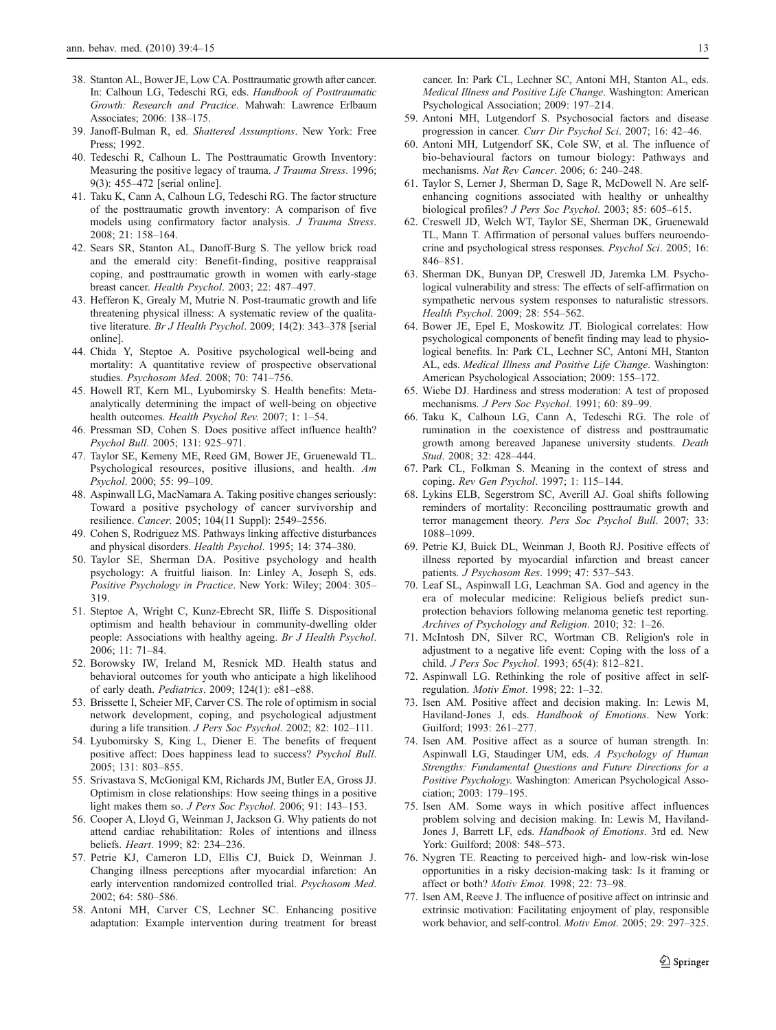- 38. Stanton AL, Bower JE, Low CA. Posttraumatic growth after cancer. In: Calhoun LG, Tedeschi RG, eds. Handbook of Posttraumatic Growth: Research and Practice. Mahwah: Lawrence Erlbaum Associates; 2006: 138–175.
- 39. Janoff-Bulman R, ed. Shattered Assumptions. New York: Free Press; 1992.
- 40. Tedeschi R, Calhoun L. The Posttraumatic Growth Inventory: Measuring the positive legacy of trauma. J Trauma Stress. 1996; 9(3): 455–472 [serial online].
- 41. Taku K, Cann A, Calhoun LG, Tedeschi RG. The factor structure of the posttraumatic growth inventory: A comparison of five models using confirmatory factor analysis. J Trauma Stress. 2008; 21: 158–164.
- 42. Sears SR, Stanton AL, Danoff-Burg S. The yellow brick road and the emerald city: Benefit-finding, positive reappraisal coping, and posttraumatic growth in women with early-stage breast cancer. Health Psychol. 2003; 22: 487–497.
- 43. Hefferon K, Grealy M, Mutrie N. Post-traumatic growth and life threatening physical illness: A systematic review of the qualitative literature. Br J Health Psychol. 2009; 14(2): 343–378 [serial online].
- 44. Chida Y, Steptoe A. Positive psychological well-being and mortality: A quantitative review of prospective observational studies. Psychosom Med. 2008; 70: 741–756.
- 45. Howell RT, Kern ML, Lyubomirsky S. Health benefits: Metaanalytically determining the impact of well-being on objective health outcomes. Health Psychol Rev. 2007; 1: 1-54.
- 46. Pressman SD, Cohen S. Does positive affect influence health? Psychol Bull. 2005; 131: 925–971.
- 47. Taylor SE, Kemeny ME, Reed GM, Bower JE, Gruenewald TL. Psychological resources, positive illusions, and health. Am Psychol. 2000; 55: 99–109.
- 48. Aspinwall LG, MacNamara A. Taking positive changes seriously: Toward a positive psychology of cancer survivorship and resilience. Cancer. 2005; 104(11 Suppl): 2549–2556.
- 49. Cohen S, Rodriguez MS. Pathways linking affective disturbances and physical disorders. Health Psychol. 1995; 14: 374–380.
- 50. Taylor SE, Sherman DA. Positive psychology and health psychology: A fruitful liaison. In: Linley A, Joseph S, eds. Positive Psychology in Practice. New York: Wiley; 2004: 305– 319.
- 51. Steptoe A, Wright C, Kunz-Ebrecht SR, Iliffe S. Dispositional optimism and health behaviour in community-dwelling older people: Associations with healthy ageing. Br J Health Psychol. 2006; 11: 71–84.
- 52. Borowsky IW, Ireland M, Resnick MD. Health status and behavioral outcomes for youth who anticipate a high likelihood of early death. Pediatrics. 2009; 124(1): e81–e88.
- 53. Brissette I, Scheier MF, Carver CS. The role of optimism in social network development, coping, and psychological adjustment during a life transition. *J Pers Soc Psychol.* 2002; 82: 102-111.
- 54. Lyubomirsky S, King L, Diener E. The benefits of frequent positive affect: Does happiness lead to success? Psychol Bull. 2005; 131: 803–855.
- 55. Srivastava S, McGonigal KM, Richards JM, Butler EA, Gross JJ. Optimism in close relationships: How seeing things in a positive light makes them so. J Pers Soc Psychol. 2006; 91: 143–153.
- 56. Cooper A, Lloyd G, Weinman J, Jackson G. Why patients do not attend cardiac rehabilitation: Roles of intentions and illness beliefs. Heart. 1999; 82: 234–236.
- 57. Petrie KJ, Cameron LD, Ellis CJ, Buick D, Weinman J. Changing illness perceptions after myocardial infarction: An early intervention randomized controlled trial. *Psychosom Med.* 2002; 64: 580–586.
- 58. Antoni MH, Carver CS, Lechner SC. Enhancing positive adaptation: Example intervention during treatment for breast

cancer. In: Park CL, Lechner SC, Antoni MH, Stanton AL, eds. Medical Illness and Positive Life Change. Washington: American Psychological Association; 2009: 197–214.

- 59. Antoni MH, Lutgendorf S. Psychosocial factors and disease progression in cancer. Curr Dir Psychol Sci. 2007; 16: 42–46.
- 60. Antoni MH, Lutgendorf SK, Cole SW, et al. The influence of bio-behavioural factors on tumour biology: Pathways and mechanisms. Nat Rev Cancer. 2006; 6: 240–248.
- 61. Taylor S, Lerner J, Sherman D, Sage R, McDowell N. Are selfenhancing cognitions associated with healthy or unhealthy biological profiles? J Pers Soc Psychol. 2003; 85: 605–615.
- 62. Creswell JD, Welch WT, Taylor SE, Sherman DK, Gruenewald TL, Mann T. Affirmation of personal values buffers neuroendocrine and psychological stress responses. Psychol Sci. 2005; 16: 846–851.
- 63. Sherman DK, Bunyan DP, Creswell JD, Jaremka LM. Psychological vulnerability and stress: The effects of self-affirmation on sympathetic nervous system responses to naturalistic stressors. Health Psychol. 2009; 28: 554–562.
- 64. Bower JE, Epel E, Moskowitz JT. Biological correlates: How psychological components of benefit finding may lead to physiological benefits. In: Park CL, Lechner SC, Antoni MH, Stanton AL, eds. Medical Illness and Positive Life Change. Washington: American Psychological Association; 2009: 155–172.
- 65. Wiebe DJ. Hardiness and stress moderation: A test of proposed mechanisms. J Pers Soc Psychol. 1991; 60: 89–99.
- 66. Taku K, Calhoun LG, Cann A, Tedeschi RG. The role of rumination in the coexistence of distress and posttraumatic growth among bereaved Japanese university students. Death Stud. 2008; 32: 428–444.
- 67. Park CL, Folkman S. Meaning in the context of stress and coping. Rev Gen Psychol. 1997; 1: 115–144.
- 68. Lykins ELB, Segerstrom SC, Averill AJ. Goal shifts following reminders of mortality: Reconciling posttraumatic growth and terror management theory. Pers Soc Psychol Bull. 2007; 33: 1088–1099.
- 69. Petrie KJ, Buick DL, Weinman J, Booth RJ. Positive effects of illness reported by myocardial infarction and breast cancer patients. J Psychosom Res. 1999; 47: 537–543.
- 70. Leaf SL, Aspinwall LG, Leachman SA. God and agency in the era of molecular medicine: Religious beliefs predict sunprotection behaviors following melanoma genetic test reporting. Archives of Psychology and Religion. 2010; 32: 1–26.
- 71. McIntosh DN, Silver RC, Wortman CB. Religion's role in adjustment to a negative life event: Coping with the loss of a child. J Pers Soc Psychol. 1993; 65(4): 812–821.
- 72. Aspinwall LG. Rethinking the role of positive affect in selfregulation. Motiv Emot. 1998; 22: 1–32.
- 73. Isen AM. Positive affect and decision making. In: Lewis M, Haviland-Jones J, eds. Handbook of Emotions. New York: Guilford; 1993: 261–277.
- 74. Isen AM. Positive affect as a source of human strength. In: Aspinwall LG, Staudinger UM, eds. A Psychology of Human Strengths: Fundamental Questions and Future Directions for a Positive Psychology. Washington: American Psychological Association; 2003: 179–195.
- 75. Isen AM. Some ways in which positive affect influences problem solving and decision making. In: Lewis M, Haviland-Jones J, Barrett LF, eds. Handbook of Emotions. 3rd ed. New York: Guilford; 2008: 548–573.
- 76. Nygren TE. Reacting to perceived high- and low-risk win-lose opportunities in a risky decision-making task: Is it framing or affect or both? Motiv Emot. 1998; 22: 73–98.
- 77. Isen AM, Reeve J. The influence of positive affect on intrinsic and extrinsic motivation: Facilitating enjoyment of play, responsible work behavior, and self-control. Motiv Emot. 2005; 29: 297–325.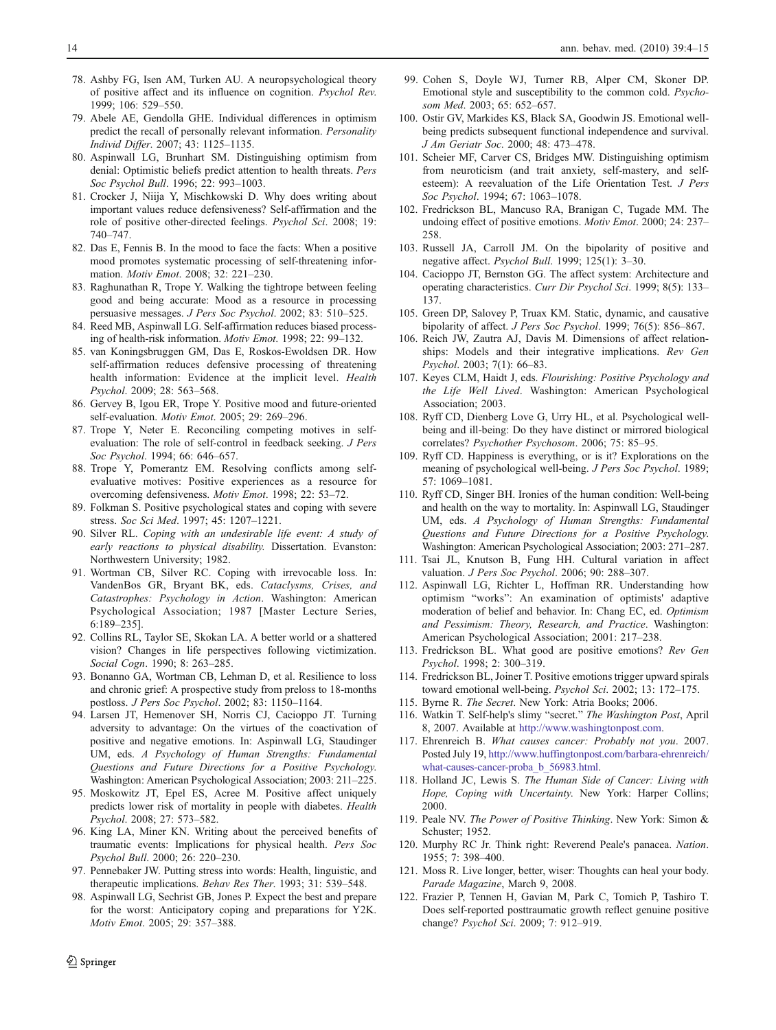- 78. Ashby FG, Isen AM, Turken AU. A neuropsychological theory of positive affect and its influence on cognition. Psychol Rev. 1999; 106: 529–550.
- 79. Abele AE, Gendolla GHE. Individual differences in optimism predict the recall of personally relevant information. Personality Individ Differ. 2007; 43: 1125–1135.
- 80. Aspinwall LG, Brunhart SM. Distinguishing optimism from denial: Optimistic beliefs predict attention to health threats. Pers Soc Psychol Bull. 1996; 22: 993–1003.
- 81. Crocker J, Niija Y, Mischkowski D. Why does writing about important values reduce defensiveness? Self-affirmation and the role of positive other-directed feelings. Psychol Sci. 2008; 19: 740–747.
- 82. Das E, Fennis B. In the mood to face the facts: When a positive mood promotes systematic processing of self-threatening information. Motiv Emot. 2008; 32: 221–230.
- 83. Raghunathan R, Trope Y. Walking the tightrope between feeling good and being accurate: Mood as a resource in processing persuasive messages. J Pers Soc Psychol. 2002; 83: 510–525.
- 84. Reed MB, Aspinwall LG. Self-affirmation reduces biased processing of health-risk information. Motiv Emot. 1998; 22: 99–132.
- 85. van Koningsbruggen GM, Das E, Roskos-Ewoldsen DR. How self-affirmation reduces defensive processing of threatening health information: Evidence at the implicit level. Health Psychol. 2009; 28: 563–568.
- 86. Gervey B, Igou ER, Trope Y. Positive mood and future-oriented self-evaluation. Motiv Emot. 2005; 29: 269–296.
- 87. Trope Y, Neter E. Reconciling competing motives in selfevaluation: The role of self-control in feedback seeking. J Pers Soc Psychol. 1994; 66: 646–657.
- 88. Trope Y, Pomerantz EM. Resolving conflicts among selfevaluative motives: Positive experiences as a resource for overcoming defensiveness. Motiv Emot. 1998; 22: 53–72.
- 89. Folkman S. Positive psychological states and coping with severe stress. Soc Sci Med. 1997; 45: 1207–1221.
- 90. Silver RL. Coping with an undesirable life event: A study of early reactions to physical disability. Dissertation. Evanston: Northwestern University; 1982.
- 91. Wortman CB, Silver RC. Coping with irrevocable loss. In: VandenBos GR, Bryant BK, eds. Cataclysms, Crises, and Catastrophes: Psychology in Action. Washington: American Psychological Association; 1987 [Master Lecture Series, 6:189–235].
- 92. Collins RL, Taylor SE, Skokan LA. A better world or a shattered vision? Changes in life perspectives following victimization. Social Cogn. 1990; 8: 263–285.
- 93. Bonanno GA, Wortman CB, Lehman D, et al. Resilience to loss and chronic grief: A prospective study from preloss to 18-months postloss. J Pers Soc Psychol. 2002; 83: 1150–1164.
- 94. Larsen JT, Hemenover SH, Norris CJ, Cacioppo JT. Turning adversity to advantage: On the virtues of the coactivation of positive and negative emotions. In: Aspinwall LG, Staudinger UM, eds. A Psychology of Human Strengths: Fundamental Questions and Future Directions for a Positive Psychology. Washington: American Psychological Association; 2003: 211–225.
- 95. Moskowitz JT, Epel ES, Acree M. Positive affect uniquely predicts lower risk of mortality in people with diabetes. Health Psychol. 2008; 27: 573–582.
- 96. King LA, Miner KN. Writing about the perceived benefits of traumatic events: Implications for physical health. Pers Soc Psychol Bull. 2000; 26: 220–230.
- 97. Pennebaker JW. Putting stress into words: Health, linguistic, and therapeutic implications. Behav Res Ther. 1993; 31: 539–548.
- 98. Aspinwall LG, Sechrist GB, Jones P. Expect the best and prepare for the worst: Anticipatory coping and preparations for Y2K. Motiv Emot. 2005; 29: 357–388.
- 99. Cohen S, Doyle WJ, Turner RB, Alper CM, Skoner DP. Emotional style and susceptibility to the common cold. Psychosom Med. 2003; 65: 652–657.
- 100. Ostir GV, Markides KS, Black SA, Goodwin JS. Emotional wellbeing predicts subsequent functional independence and survival. J Am Geriatr Soc. 2000; 48: 473–478.
- 101. Scheier MF, Carver CS, Bridges MW. Distinguishing optimism from neuroticism (and trait anxiety, self-mastery, and selfesteem): A reevaluation of the Life Orientation Test. J Pers Soc Psychol. 1994; 67: 1063–1078.
- 102. Fredrickson BL, Mancuso RA, Branigan C, Tugade MM. The undoing effect of positive emotions. Motiv Emot. 2000; 24: 237– 258.
- 103. Russell JA, Carroll JM. On the bipolarity of positive and negative affect. Psychol Bull. 1999; 125(1): 3–30.
- 104. Cacioppo JT, Bernston GG. The affect system: Architecture and operating characteristics. Curr Dir Psychol Sci. 1999; 8(5): 133– 137.
- 105. Green DP, Salovey P, Truax KM. Static, dynamic, and causative bipolarity of affect. J Pers Soc Psychol. 1999; 76(5): 856–867.
- 106. Reich JW, Zautra AJ, Davis M. Dimensions of affect relationships: Models and their integrative implications. Rev Gen Psychol. 2003; 7(1): 66–83.
- 107. Keyes CLM, Haidt J, eds. Flourishing: Positive Psychology and the Life Well Lived. Washington: American Psychological Association; 2003.
- 108. Ryff CD, Dienberg Love G, Urry HL, et al. Psychological wellbeing and ill-being: Do they have distinct or mirrored biological correlates? Psychother Psychosom. 2006; 75: 85–95.
- 109. Ryff CD. Happiness is everything, or is it? Explorations on the meaning of psychological well-being. J Pers Soc Psychol. 1989; 57: 1069–1081.
- 110. Ryff CD, Singer BH. Ironies of the human condition: Well-being and health on the way to mortality. In: Aspinwall LG, Staudinger UM, eds. A Psychology of Human Strengths: Fundamental Questions and Future Directions for a Positive Psychology. Washington: American Psychological Association; 2003: 271–287.
- 111. Tsai JL, Knutson B, Fung HH. Cultural variation in affect valuation. J Pers Soc Psychol. 2006; 90: 288–307.
- 112. Aspinwall LG, Richter L, Hoffman RR. Understanding how optimism "works": An examination of optimists' adaptive moderation of belief and behavior. In: Chang EC, ed. Optimism and Pessimism: Theory, Research, and Practice. Washington: American Psychological Association; 2001: 217–238.
- 113. Fredrickson BL. What good are positive emotions? Rev Gen Psychol. 1998; 2: 300–319.
- 114. Fredrickson BL, Joiner T. Positive emotions trigger upward spirals toward emotional well-being. Psychol Sci. 2002; 13: 172–175.
- 115. Byrne R. The Secret. New York: Atria Books; 2006.
- 116. Watkin T. Self-help's slimy "secret." The Washington Post, April 8, 2007. Available at http://www.washingtonpost.com.
- 117. Ehrenreich B. What causes cancer: Probably not you. 2007. Posted July 19, [http://www.huffingtonpost.com/barbara-ehrenreich/](http://www.huffingtonpost.com/barbara-ehrenreich/what-causes-cancer-proba_b_56983.html) [what-causes-cancer-proba\\_b\\_56983.html](http://www.huffingtonpost.com/barbara-ehrenreich/what-causes-cancer-proba_b_56983.html).
- 118. Holland JC, Lewis S. The Human Side of Cancer: Living with Hope, Coping with Uncertainty. New York: Harper Collins; 2000.
- 119. Peale NV. The Power of Positive Thinking. New York: Simon & Schuster; 1952.
- 120. Murphy RC Jr. Think right: Reverend Peale's panacea. Nation. 1955; 7: 398–400.
- 121. Moss R. Live longer, better, wiser: Thoughts can heal your body. Parade Magazine, March 9, 2008.
- 122. Frazier P, Tennen H, Gavian M, Park C, Tomich P, Tashiro T. Does self-reported posttraumatic growth reflect genuine positive change? Psychol Sci. 2009; 7: 912–919.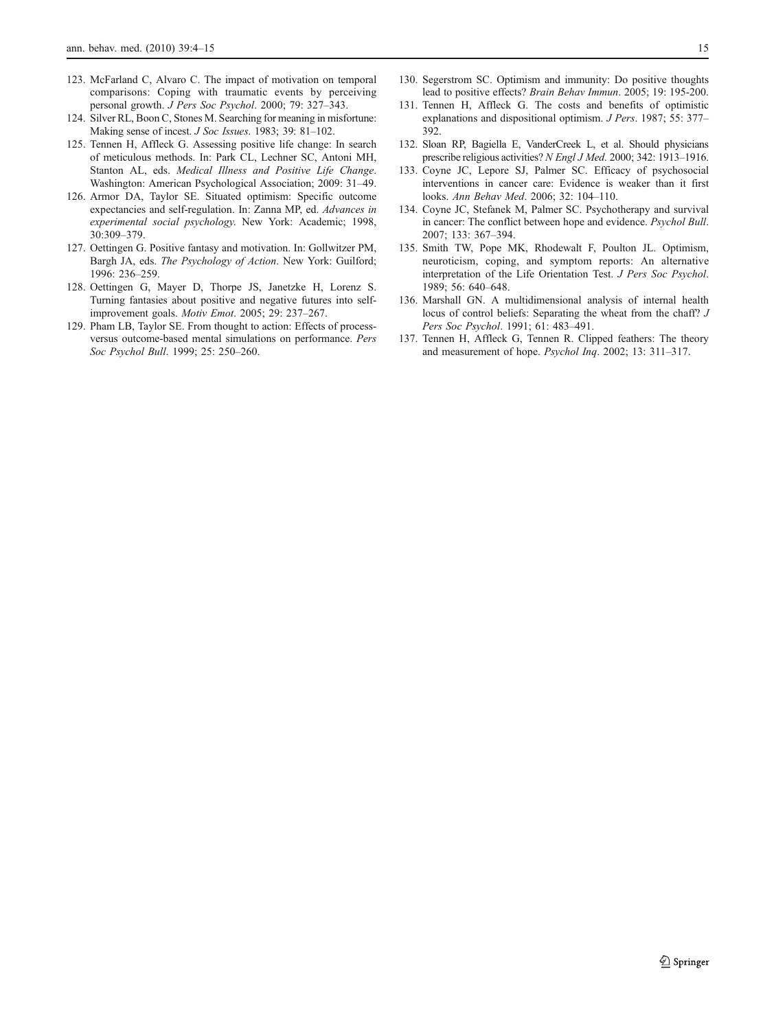- 123. McFarland C, Alvaro C. The impact of motivation on temporal comparisons: Coping with traumatic events by perceiving personal growth. J Pers Soc Psychol. 2000; 79: 327–343.
- 124. Silver RL, Boon C, Stones M. Searching for meaning in misfortune: Making sense of incest. J Soc Issues. 1983; 39: 81-102.
- 125. Tennen H, Affleck G. Assessing positive life change: In search of meticulous methods. In: Park CL, Lechner SC, Antoni MH, Stanton AL, eds. Medical Illness and Positive Life Change. Washington: American Psychological Association; 2009: 31–49.
- 126. Armor DA, Taylor SE. Situated optimism: Specific outcome expectancies and self-regulation. In: Zanna MP, ed. Advances in experimental social psychology. New York: Academic; 1998, 30:309–379.
- 127. Oettingen G. Positive fantasy and motivation. In: Gollwitzer PM, Bargh JA, eds. The Psychology of Action. New York: Guilford; 1996: 236–259.
- 128. Oettingen G, Mayer D, Thorpe JS, Janetzke H, Lorenz S. Turning fantasies about positive and negative futures into selfimprovement goals. Motiv Emot. 2005; 29: 237–267.
- 129. Pham LB, Taylor SE. From thought to action: Effects of processversus outcome-based mental simulations on performance. Pers Soc Psychol Bull. 1999; 25: 250–260.
- 130. Segerstrom SC. Optimism and immunity: Do positive thoughts lead to positive effects? Brain Behav Immun. 2005; 19: 195-200.
- 131. Tennen H, Affleck G. The costs and benefits of optimistic explanations and dispositional optimism. J Pers. 1987; 55: 377– 392.
- 132. Sloan RP, Bagiella E, VanderCreek L, et al. Should physicians prescribe religious activities? N Engl J Med. 2000; 342: 1913–1916.
- 133. Coyne JC, Lepore SJ, Palmer SC. Efficacy of psychosocial interventions in cancer care: Evidence is weaker than it first looks. Ann Behav Med. 2006; 32: 104–110.
- 134. Coyne JC, Stefanek M, Palmer SC. Psychotherapy and survival in cancer: The conflict between hope and evidence. Psychol Bull. 2007; 133: 367–394.
- 135. Smith TW, Pope MK, Rhodewalt F, Poulton JL. Optimism, neuroticism, coping, and symptom reports: An alternative interpretation of the Life Orientation Test. J Pers Soc Psychol. 1989; 56: 640–648.
- 136. Marshall GN. A multidimensional analysis of internal health locus of control beliefs: Separating the wheat from the chaff? J Pers Soc Psychol. 1991; 61: 483–491.
- 137. Tennen H, Affleck G, Tennen R. Clipped feathers: The theory and measurement of hope. Psychol Inq. 2002; 13: 311–317.